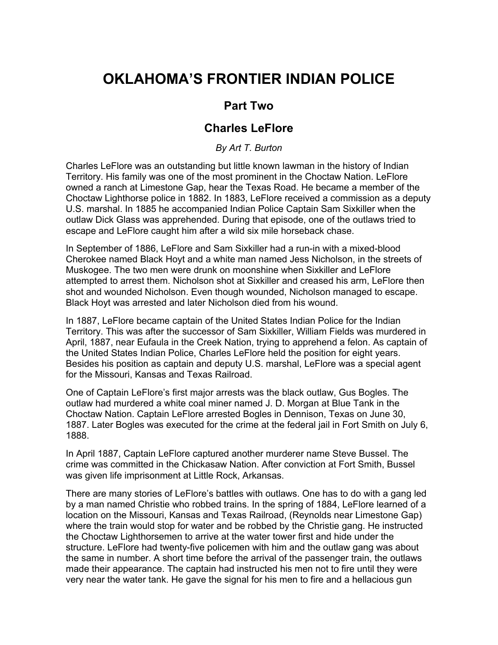## **OKLAHOMA'S FRONTIER INDIAN POLICE**

## **Part Two**

## **Charles LeFlore**

*By Art T. Burton*

Charles LeFlore was an outstanding but little known lawman in the history of Indian Territory. His family was one of the most prominent in the Choctaw Nation. LeFlore owned a ranch at Limestone Gap, hear the Texas Road. He became a member of the Choctaw Lighthorse police in 1882. In 1883, LeFlore received a commission as a deputy U.S. marshal. In 1885 he accompanied Indian Police Captain Sam Sixkiller when the outlaw Dick Glass was apprehended. During that episode, one of the outlaws tried to escape and LeFlore caught him after a wild six mile horseback chase.

In September of 1886, LeFlore and Sam Sixkiller had a run-in with a mixed-blood Cherokee named Black Hoyt and a white man named Jess Nicholson, in the streets of Muskogee. The two men were drunk on moonshine when Sixkiller and LeFlore attempted to arrest them. Nicholson shot at Sixkiller and creased his arm, LeFlore then shot and wounded Nicholson. Even though wounded, Nicholson managed to escape. Black Hoyt was arrested and later Nicholson died from his wound.

In 1887, LeFlore became captain of the United States Indian Police for the Indian Territory. This was after the successor of Sam Sixkiller, William Fields was murdered in April, 1887, near Eufaula in the Creek Nation, trying to apprehend a felon. As captain of the United States Indian Police, Charles LeFlore held the position for eight years. Besides his position as captain and deputy U.S. marshal, LeFlore was a special agent for the Missouri, Kansas and Texas Railroad.

One of Captain LeFlore's first major arrests was the black outlaw, Gus Bogles. The outlaw had murdered a white coal miner named J. D. Morgan at Blue Tank in the Choctaw Nation. Captain LeFlore arrested Bogles in Dennison, Texas on June 30, 1887. Later Bogles was executed for the crime at the federal jail in Fort Smith on July 6, 1888.

In April 1887, Captain LeFlore captured another murderer name Steve Bussel. The crime was committed in the Chickasaw Nation. After conviction at Fort Smith, Bussel was given life imprisonment at Little Rock, Arkansas.

There are many stories of LeFlore's battles with outlaws. One has to do with a gang led by a man named Christie who robbed trains. In the spring of 1884, LeFlore learned of a location on the Missouri, Kansas and Texas Railroad, (Reynolds near Limestone Gap) where the train would stop for water and be robbed by the Christie gang. He instructed the Choctaw Lighthorsemen to arrive at the water tower first and hide under the structure. LeFlore had twenty-five policemen with him and the outlaw gang was about the same in number. A short time before the arrival of the passenger train, the outlaws made their appearance. The captain had instructed his men not to fire until they were very near the water tank. He gave the signal for his men to fire and a hellacious gun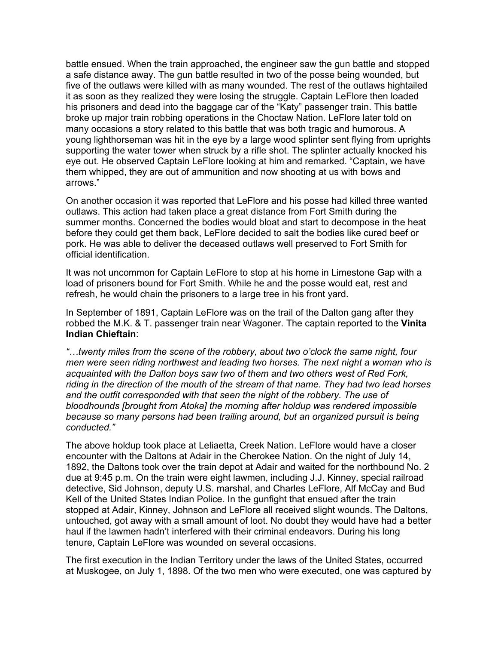battle ensued. When the train approached, the engineer saw the gun battle and stopped a safe distance away. The gun battle resulted in two of the posse being wounded, but five of the outlaws were killed with as many wounded. The rest of the outlaws hightailed it as soon as they realized they were losing the struggle. Captain LeFlore then loaded his prisoners and dead into the baggage car of the "Katy" passenger train. This battle broke up major train robbing operations in the Choctaw Nation. LeFlore later told on many occasions a story related to this battle that was both tragic and humorous. A young lighthorseman was hit in the eye by a large wood splinter sent flying from uprights supporting the water tower when struck by a rifle shot. The splinter actually knocked his eye out. He observed Captain LeFlore looking at him and remarked. "Captain, we have them whipped, they are out of ammunition and now shooting at us with bows and arrows."

On another occasion it was reported that LeFlore and his posse had killed three wanted outlaws. This action had taken place a great distance from Fort Smith during the summer months. Concerned the bodies would bloat and start to decompose in the heat before they could get them back, LeFlore decided to salt the bodies like cured beef or pork. He was able to deliver the deceased outlaws well preserved to Fort Smith for official identification.

It was not uncommon for Captain LeFlore to stop at his home in Limestone Gap with a load of prisoners bound for Fort Smith. While he and the posse would eat, rest and refresh, he would chain the prisoners to a large tree in his front yard.

In September of 1891, Captain LeFlore was on the trail of the Dalton gang after they robbed the M.K. & T. passenger train near Wagoner. The captain reported to the **Vinita Indian Chieftain**:

*"…twenty miles from the scene of the robbery, about two o'clock the same night, four men were seen riding northwest and leading two horses. The next night a woman who is acquainted with the Dalton boys saw two of them and two others west of Red Fork, riding in the direction of the mouth of the stream of that name. They had two lead horses and the outfit corresponded with that seen the night of the robbery. The use of bloodhounds [brought from Atoka] the morning after holdup was rendered impossible because so many persons had been trailing around, but an organized pursuit is being conducted."*

The above holdup took place at Leliaetta, Creek Nation. LeFlore would have a closer encounter with the Daltons at Adair in the Cherokee Nation. On the night of July 14, 1892, the Daltons took over the train depot at Adair and waited for the northbound No. 2 due at 9:45 p.m. On the train were eight lawmen, including J.J. Kinney, special railroad detective, Sid Johnson, deputy U.S. marshal, and Charles LeFlore, Alf McCay and Bud Kell of the United States Indian Police. In the gunfight that ensued after the train stopped at Adair, Kinney, Johnson and LeFlore all received slight wounds. The Daltons, untouched, got away with a small amount of loot. No doubt they would have had a better haul if the lawmen hadn't interfered with their criminal endeavors. During his long tenure, Captain LeFlore was wounded on several occasions.

The first execution in the Indian Territory under the laws of the United States, occurred at Muskogee, on July 1, 1898. Of the two men who were executed, one was captured by